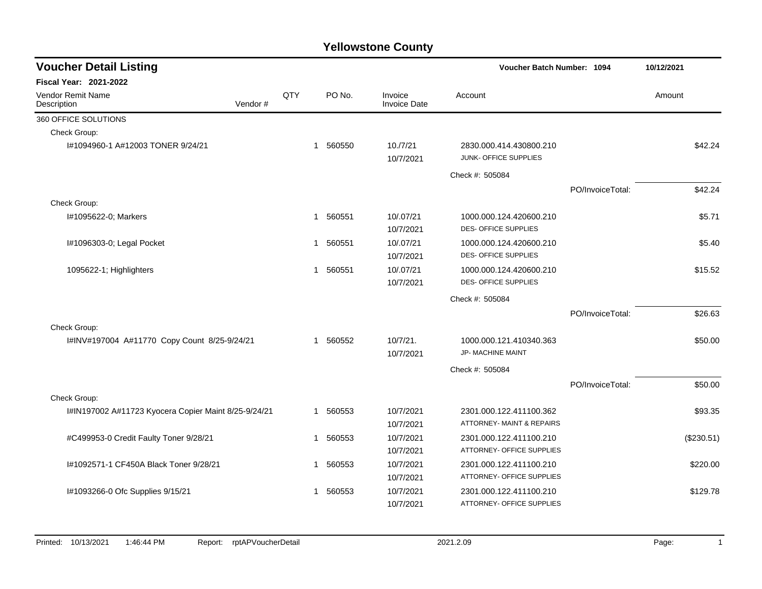| <b>Voucher Detail Listing</b>                        |         |     |             |          |                                | Voucher Batch Number: 1094                                      |                  | 10/12/2021 |            |
|------------------------------------------------------|---------|-----|-------------|----------|--------------------------------|-----------------------------------------------------------------|------------------|------------|------------|
| Fiscal Year: 2021-2022                               |         |     |             |          |                                |                                                                 |                  |            |            |
| <b>Vendor Remit Name</b><br>Description              | Vendor# | QTY |             | PO No.   | Invoice<br><b>Invoice Date</b> | Account                                                         |                  | Amount     |            |
| 360 OFFICE SOLUTIONS                                 |         |     |             |          |                                |                                                                 |                  |            |            |
| Check Group:                                         |         |     |             |          |                                |                                                                 |                  |            |            |
| I#1094960-1 A#12003 TONER 9/24/21                    |         |     | 1           | 560550   | 10./7/21<br>10/7/2021          | 2830.000.414.430800.210<br><b>JUNK- OFFICE SUPPLIES</b>         |                  |            | \$42.24    |
|                                                      |         |     |             |          |                                | Check #: 505084                                                 |                  |            |            |
|                                                      |         |     |             |          |                                |                                                                 | PO/InvoiceTotal: |            | \$42.24    |
| Check Group:                                         |         |     |             |          |                                |                                                                 |                  |            |            |
| I#1095622-0; Markers                                 |         |     | 1           | 560551   | 10/.07/21<br>10/7/2021         | 1000.000.124.420600.210<br><b>DES- OFFICE SUPPLIES</b>          |                  |            | \$5.71     |
| I#1096303-0; Legal Pocket                            |         |     | 1           | 560551   | 10/.07/21<br>10/7/2021         | 1000.000.124.420600.210<br><b>DES- OFFICE SUPPLIES</b>          |                  |            | \$5.40     |
| 1095622-1; Highlighters                              |         |     | 1           | 560551   | 10/.07/21<br>10/7/2021         | 1000.000.124.420600.210<br>DES- OFFICE SUPPLIES                 |                  |            | \$15.52    |
|                                                      |         |     |             |          |                                | Check #: 505084                                                 |                  |            |            |
|                                                      |         |     |             |          |                                |                                                                 | PO/InvoiceTotal: |            | \$26.63    |
| Check Group:                                         |         |     |             |          |                                |                                                                 |                  |            |            |
| I#INV#197004 A#11770 Copy Count 8/25-9/24/21         |         |     | $\mathbf 1$ | 560552   | 10/7/21.<br>10/7/2021          | 1000.000.121.410340.363<br><b>JP- MACHINE MAINT</b>             |                  |            | \$50.00    |
|                                                      |         |     |             |          |                                | Check #: 505084                                                 |                  |            |            |
|                                                      |         |     |             |          |                                |                                                                 | PO/InvoiceTotal: |            | \$50.00    |
| Check Group:                                         |         |     |             |          |                                |                                                                 |                  |            |            |
| I#IN197002 A#11723 Kyocera Copier Maint 8/25-9/24/21 |         |     |             | 1 560553 | 10/7/2021<br>10/7/2021         | 2301.000.122.411100.362<br><b>ATTORNEY- MAINT &amp; REPAIRS</b> |                  |            | \$93.35    |
| #C499953-0 Credit Faulty Toner 9/28/21               |         |     | 1           | 560553   | 10/7/2021<br>10/7/2021         | 2301.000.122.411100.210<br>ATTORNEY- OFFICE SUPPLIES            |                  |            | (\$230.51) |
| #1092571-1 CF450A Black Toner 9/28/21                |         |     | 1           | 560553   | 10/7/2021<br>10/7/2021         | 2301.000.122.411100.210<br>ATTORNEY- OFFICE SUPPLIES            |                  |            | \$220.00   |
| I#1093266-0 Ofc Supplies 9/15/21                     |         |     | 1           | 560553   | 10/7/2021<br>10/7/2021         | 2301.000.122.411100.210<br>ATTORNEY- OFFICE SUPPLIES            |                  |            | \$129.78   |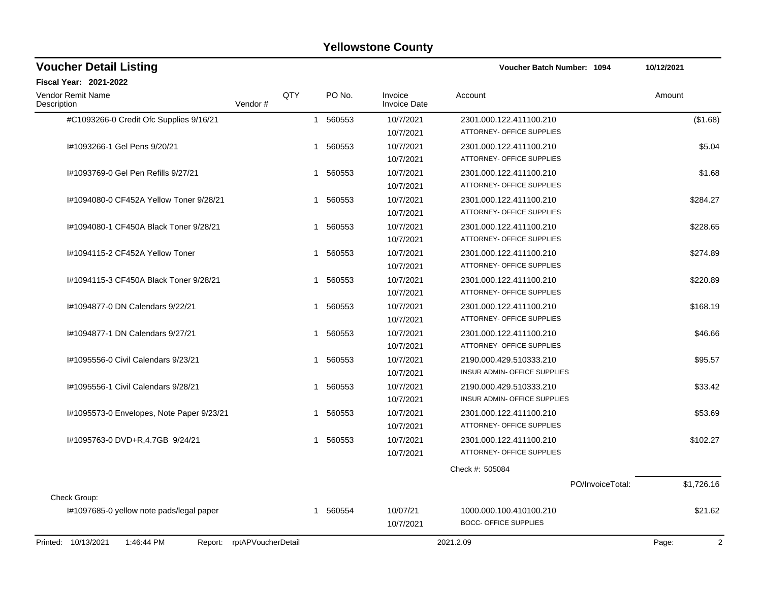| <b>Voucher Detail Listing</b>             |                            |              |          |                                | Voucher Batch Number: 1094       |                  | 10/12/2021              |
|-------------------------------------------|----------------------------|--------------|----------|--------------------------------|----------------------------------|------------------|-------------------------|
| <b>Fiscal Year: 2021-2022</b>             |                            |              |          |                                |                                  |                  |                         |
| Vendor Remit Name<br>Description          | Vendor#                    | QTY          | PO No.   | Invoice<br><b>Invoice Date</b> | Account                          |                  | Amount                  |
| #C1093266-0 Credit Ofc Supplies 9/16/21   |                            | $\mathbf{1}$ | 560553   | 10/7/2021                      | 2301.000.122.411100.210          |                  | (\$1.68)                |
|                                           |                            |              |          | 10/7/2021                      | ATTORNEY- OFFICE SUPPLIES        |                  |                         |
| #1093266-1 Gel Pens 9/20/21               |                            | $\mathbf{1}$ | 560553   | 10/7/2021                      | 2301.000.122.411100.210          |                  | \$5.04                  |
|                                           |                            |              |          | 10/7/2021                      | ATTORNEY- OFFICE SUPPLIES        |                  |                         |
| I#1093769-0 Gel Pen Refills 9/27/21       |                            | 1            | 560553   | 10/7/2021                      | 2301.000.122.411100.210          |                  | \$1.68                  |
|                                           |                            |              |          | 10/7/2021                      | ATTORNEY- OFFICE SUPPLIES        |                  |                         |
| I#1094080-0 CF452A Yellow Toner 9/28/21   |                            |              | 1 560553 | 10/7/2021                      | 2301.000.122.411100.210          |                  | \$284.27                |
|                                           |                            |              |          | 10/7/2021                      | ATTORNEY- OFFICE SUPPLIES        |                  |                         |
| #1094080-1 CF450A Black Toner 9/28/21     |                            |              | 1 560553 | 10/7/2021                      | 2301.000.122.411100.210          |                  | \$228.65                |
|                                           |                            |              |          | 10/7/2021                      | ATTORNEY- OFFICE SUPPLIES        |                  |                         |
| I#1094115-2 CF452A Yellow Toner           |                            | 1            | 560553   | 10/7/2021                      | 2301.000.122.411100.210          |                  | \$274.89                |
|                                           |                            |              |          | 10/7/2021                      | ATTORNEY- OFFICE SUPPLIES        |                  |                         |
| #1094115-3 CF450A Black Toner 9/28/21     |                            | -1           | 560553   | 10/7/2021                      | 2301.000.122.411100.210          |                  | \$220.89                |
|                                           |                            |              |          | 10/7/2021                      | ATTORNEY- OFFICE SUPPLIES        |                  |                         |
| #1094877-0 DN Calendars 9/22/21           |                            | $\mathbf 1$  | 560553   | 10/7/2021                      | 2301.000.122.411100.210          |                  | \$168.19                |
|                                           |                            |              |          | 10/7/2021                      | ATTORNEY- OFFICE SUPPLIES        |                  |                         |
| I#1094877-1 DN Calendars 9/27/21          |                            | 1            | 560553   | 10/7/2021                      | 2301.000.122.411100.210          |                  | \$46.66                 |
|                                           |                            |              |          | 10/7/2021                      | ATTORNEY- OFFICE SUPPLIES        |                  |                         |
| #1095556-0 Civil Calendars 9/23/21        |                            | $\mathbf 1$  | 560553   | 10/7/2021                      | 2190.000.429.510333.210          |                  | \$95.57                 |
|                                           |                            |              |          | 10/7/2021                      | INSUR ADMIN- OFFICE SUPPLIES     |                  |                         |
| I#1095556-1 Civil Calendars 9/28/21       |                            |              | 560553   | 10/7/2021                      | 2190.000.429.510333.210          |                  | \$33.42                 |
|                                           |                            |              |          | 10/7/2021                      | INSUR ADMIN- OFFICE SUPPLIES     |                  |                         |
| I#1095573-0 Envelopes, Note Paper 9/23/21 |                            | -1           | 560553   | 10/7/2021                      | 2301.000.122.411100.210          |                  | \$53.69                 |
|                                           |                            |              |          | 10/7/2021                      | ATTORNEY- OFFICE SUPPLIES        |                  |                         |
| I#1095763-0 DVD+R,4.7GB 9/24/21           |                            | 1            | 560553   | 10/7/2021                      | 2301.000.122.411100.210          |                  | \$102.27                |
|                                           |                            |              |          | 10/7/2021                      | <b>ATTORNEY- OFFICE SUPPLIES</b> |                  |                         |
|                                           |                            |              |          |                                | Check #: 505084                  |                  |                         |
|                                           |                            |              |          |                                |                                  | PO/InvoiceTotal: | \$1,726.16              |
| Check Group:                              |                            |              |          |                                |                                  |                  |                         |
| I#1097685-0 yellow note pads/legal paper  |                            | $\mathbf 1$  | 560554   | 10/07/21                       | 1000.000.100.410100.210          |                  | \$21.62                 |
|                                           |                            |              |          | 10/7/2021                      | <b>BOCC- OFFICE SUPPLIES</b>     |                  |                         |
| Printed: 10/13/2021<br>1:46:44 PM         | Report: rptAPVoucherDetail |              |          |                                | 2021.2.09                        |                  | $\overline{2}$<br>Page: |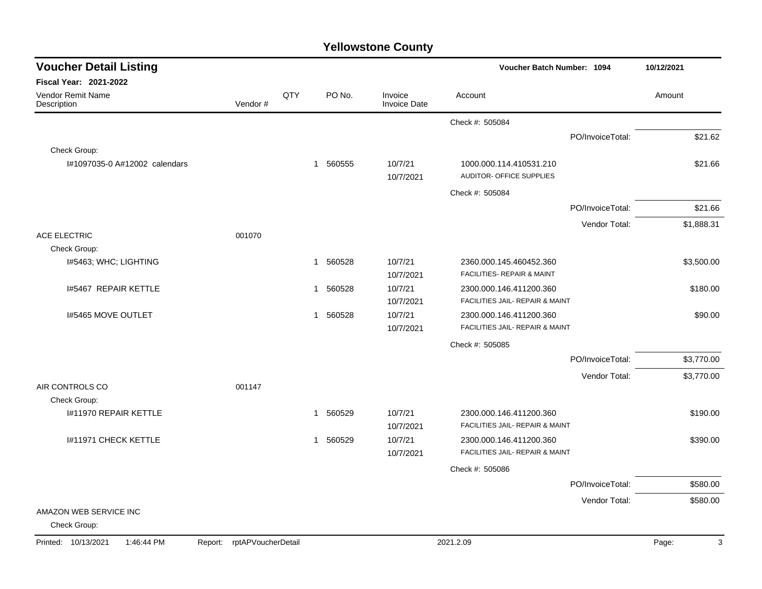| <b>Voucher Detail Listing</b>                |                    |     |                        |                                | Voucher Batch Number: 1094                                 |                  | 10/12/2021 |
|----------------------------------------------|--------------------|-----|------------------------|--------------------------------|------------------------------------------------------------|------------------|------------|
| Fiscal Year: 2021-2022                       |                    |     |                        |                                |                                                            |                  |            |
| Vendor Remit Name<br>Description             | Vendor#            | QTY | PO No.                 | Invoice<br><b>Invoice Date</b> | Account                                                    |                  | Amount     |
|                                              |                    |     |                        |                                | Check #: 505084                                            |                  |            |
|                                              |                    |     |                        |                                |                                                            | PO/InvoiceTotal: | \$21.62    |
| Check Group:                                 |                    |     |                        |                                |                                                            |                  |            |
| I#1097035-0 A#12002 calendars                |                    |     | 560555<br>$\mathbf{1}$ | 10/7/21<br>10/7/2021           | 1000.000.114.410531.210<br>AUDITOR- OFFICE SUPPLIES        |                  | \$21.66    |
|                                              |                    |     |                        |                                | Check #: 505084                                            |                  |            |
|                                              |                    |     |                        |                                |                                                            | PO/InvoiceTotal: | \$21.66    |
|                                              |                    |     |                        |                                |                                                            | Vendor Total:    | \$1,888.31 |
| <b>ACE ELECTRIC</b>                          | 001070             |     |                        |                                |                                                            |                  |            |
| Check Group:                                 |                    |     |                        |                                |                                                            |                  |            |
| I#5463; WHC; LIGHTING                        |                    |     | 1 560528               | 10/7/21<br>10/7/2021           | 2360.000.145.460452.360<br>FACILITIES- REPAIR & MAINT      |                  | \$3,500.00 |
| 1#5467 REPAIR KETTLE                         |                    |     | 560528<br>1            | 10/7/21<br>10/7/2021           | 2300.000.146.411200.360<br>FACILITIES JAIL- REPAIR & MAINT |                  | \$180.00   |
| I#5465 MOVE OUTLET                           |                    |     | 560528<br>1            | 10/7/21<br>10/7/2021           | 2300.000.146.411200.360<br>FACILITIES JAIL- REPAIR & MAINT |                  | \$90.00    |
|                                              |                    |     |                        |                                | Check #: 505085                                            |                  |            |
|                                              |                    |     |                        |                                |                                                            | PO/InvoiceTotal: | \$3,770.00 |
|                                              |                    |     |                        |                                |                                                            | Vendor Total:    | \$3,770.00 |
| AIR CONTROLS CO                              | 001147             |     |                        |                                |                                                            |                  |            |
| Check Group:                                 |                    |     |                        |                                |                                                            |                  |            |
| I#11970 REPAIR KETTLE                        |                    |     | 560529<br>1            | 10/7/21<br>10/7/2021           | 2300.000.146.411200.360<br>FACILITIES JAIL- REPAIR & MAINT |                  | \$190.00   |
| I#11971 CHECK KETTLE                         |                    |     | 560529<br>$\mathbf{1}$ | 10/7/21<br>10/7/2021           | 2300.000.146.411200.360<br>FACILITIES JAIL- REPAIR & MAINT |                  | \$390.00   |
|                                              |                    |     |                        |                                | Check #: 505086                                            |                  |            |
|                                              |                    |     |                        |                                |                                                            | PO/InvoiceTotal: | \$580.00   |
|                                              |                    |     |                        |                                |                                                            | Vendor Total:    | \$580.00   |
| AMAZON WEB SERVICE INC<br>Check Group:       |                    |     |                        |                                |                                                            |                  |            |
| Printed: 10/13/2021<br>1:46:44 PM<br>Report: | rptAPVoucherDetail |     |                        |                                | 2021.2.09                                                  |                  | Page:<br>3 |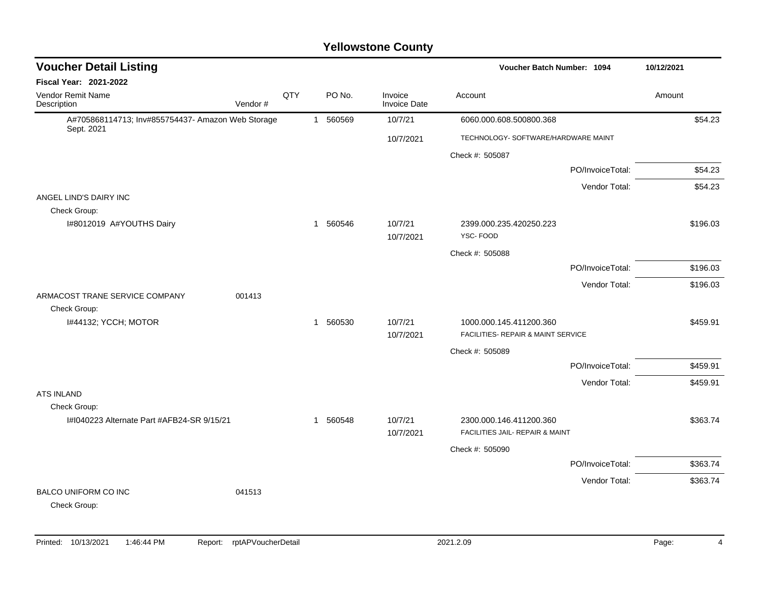| <b>Voucher Detail Listing</b>                                   |          |     |              |          |                                | Voucher Batch Number: 1094                                    | 10/12/2021       |          |
|-----------------------------------------------------------------|----------|-----|--------------|----------|--------------------------------|---------------------------------------------------------------|------------------|----------|
| Fiscal Year: 2021-2022                                          |          |     |              |          |                                |                                                               |                  |          |
| Vendor Remit Name<br>Description                                | Vendor # | QTY |              | PO No.   | Invoice<br><b>Invoice Date</b> | Account                                                       |                  | Amount   |
| A#705868114713; Inv#855754437- Amazon Web Storage<br>Sept. 2021 |          |     |              | 1 560569 | 10/7/21                        | 6060.000.608.500800.368                                       |                  | \$54.23  |
|                                                                 |          |     |              |          | 10/7/2021                      | TECHNOLOGY- SOFTWARE/HARDWARE MAINT                           |                  |          |
|                                                                 |          |     |              |          |                                | Check #: 505087                                               |                  |          |
|                                                                 |          |     |              |          |                                |                                                               | PO/InvoiceTotal: | \$54.23  |
|                                                                 |          |     |              |          |                                |                                                               | Vendor Total:    | \$54.23  |
| ANGEL LIND'S DAIRY INC<br>Check Group:                          |          |     |              |          |                                |                                                               |                  |          |
| I#8012019 A#YOUTHS Dairy                                        |          |     | $\mathbf{1}$ | 560546   | 10/7/21<br>10/7/2021           | 2399.000.235.420250.223<br>YSC-FOOD                           |                  | \$196.03 |
|                                                                 |          |     |              |          |                                | Check #: 505088                                               |                  |          |
|                                                                 |          |     |              |          |                                |                                                               | PO/InvoiceTotal: | \$196.03 |
| ARMACOST TRANE SERVICE COMPANY<br>Check Group:                  | 001413   |     |              |          |                                |                                                               | Vendor Total:    | \$196.03 |
| I#44132; YCCH; MOTOR                                            |          |     |              | 1 560530 | 10/7/21<br>10/7/2021           | 1000.000.145.411200.360<br>FACILITIES- REPAIR & MAINT SERVICE |                  | \$459.91 |
|                                                                 |          |     |              |          |                                | Check #: 505089                                               |                  |          |
|                                                                 |          |     |              |          |                                |                                                               | PO/InvoiceTotal: | \$459.91 |
| <b>ATS INLAND</b>                                               |          |     |              |          |                                |                                                               | Vendor Total:    | \$459.91 |
| Check Group:<br>I#1040223 Alternate Part #AFB24-SR 9/15/21      |          |     | 1            | 560548   | 10/7/21<br>10/7/2021           | 2300.000.146.411200.360<br>FACILITIES JAIL- REPAIR & MAINT    |                  | \$363.74 |
|                                                                 |          |     |              |          |                                | Check #: 505090                                               |                  |          |
|                                                                 |          |     |              |          |                                |                                                               | PO/InvoiceTotal: | \$363.74 |
| <b>BALCO UNIFORM CO INC</b>                                     | 041513   |     |              |          |                                |                                                               | Vendor Total:    | \$363.74 |
| Check Group:                                                    |          |     |              |          |                                |                                                               |                  |          |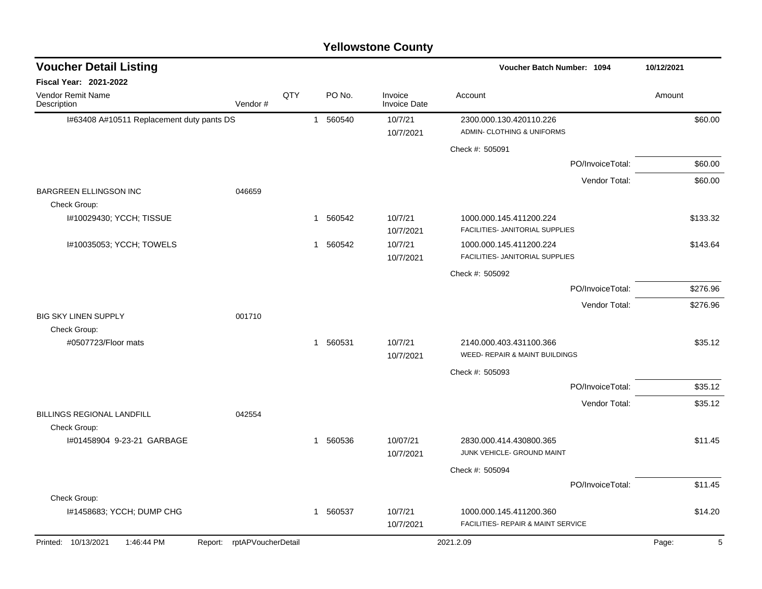|                                             |                            |     |                        | <b>Yellowstone County</b>      |                                                               |            |
|---------------------------------------------|----------------------------|-----|------------------------|--------------------------------|---------------------------------------------------------------|------------|
| <b>Voucher Detail Listing</b>               |                            |     |                        |                                | <b>Voucher Batch Number: 1094</b>                             | 10/12/2021 |
| Fiscal Year: 2021-2022                      |                            |     |                        |                                |                                                               |            |
| Vendor Remit Name<br>Description            | Vendor#                    | QTY | PO No.                 | Invoice<br><b>Invoice Date</b> | Account                                                       | Amount     |
| I#63408 A#10511 Replacement duty pants DS   |                            |     | 560540<br>$\mathbf{1}$ | 10/7/21                        | 2300.000.130.420110.226                                       | \$60.00    |
|                                             |                            |     |                        | 10/7/2021                      | ADMIN- CLOTHING & UNIFORMS                                    |            |
|                                             |                            |     |                        |                                | Check #: 505091                                               |            |
|                                             |                            |     |                        |                                | PO/InvoiceTotal:                                              | \$60.00    |
| <b>BARGREEN ELLINGSON INC</b>               | 046659                     |     |                        |                                | Vendor Total:                                                 | \$60.00    |
| Check Group:                                |                            |     |                        |                                |                                                               |            |
| I#10029430; YCCH; TISSUE                    |                            |     | 560542<br>1            | 10/7/21<br>10/7/2021           | 1000.000.145.411200.224<br>FACILITIES- JANITORIAL SUPPLIES    | \$133.32   |
| I#10035053; YCCH; TOWELS                    |                            |     | 560542<br>1            | 10/7/21<br>10/7/2021           | 1000.000.145.411200.224<br>FACILITIES- JANITORIAL SUPPLIES    | \$143.64   |
|                                             |                            |     |                        |                                | Check #: 505092                                               |            |
|                                             |                            |     |                        |                                | PO/InvoiceTotal:                                              | \$276.96   |
|                                             |                            |     |                        |                                | Vendor Total:                                                 | \$276.96   |
| <b>BIG SKY LINEN SUPPLY</b><br>Check Group: | 001710                     |     |                        |                                |                                                               |            |
| #0507723/Floor mats                         |                            |     | 560531<br>$\mathbf 1$  | 10/7/21<br>10/7/2021           | 2140.000.403.431100.366<br>WEED- REPAIR & MAINT BUILDINGS     | \$35.12    |
|                                             |                            |     |                        |                                | Check #: 505093                                               |            |
|                                             |                            |     |                        |                                | PO/InvoiceTotal:                                              | \$35.12    |
|                                             |                            |     |                        |                                | Vendor Total:                                                 | \$35.12    |
| BILLINGS REGIONAL LANDFILL<br>Check Group:  | 042554                     |     |                        |                                |                                                               |            |
| I#01458904 9-23-21 GARBAGE                  |                            |     | 560536<br>1            | 10/07/21                       | 2830.000.414.430800.365                                       | \$11.45    |
|                                             |                            |     |                        | 10/7/2021                      | JUNK VEHICLE- GROUND MAINT                                    |            |
|                                             |                            |     |                        |                                | Check #: 505094                                               |            |
|                                             |                            |     |                        |                                | PO/InvoiceTotal:                                              | \$11.45    |
| Check Group:                                |                            |     |                        |                                |                                                               |            |
| I#1458683; YCCH; DUMP CHG                   |                            |     | 560537<br>$\mathbf 1$  | 10/7/21<br>10/7/2021           | 1000.000.145.411200.360<br>FACILITIES- REPAIR & MAINT SERVICE | \$14.20    |
| Printed: 10/13/2021<br>1:46:44 PM           | Report: rptAPVoucherDetail |     |                        |                                | 2021.2.09                                                     | Page:<br>5 |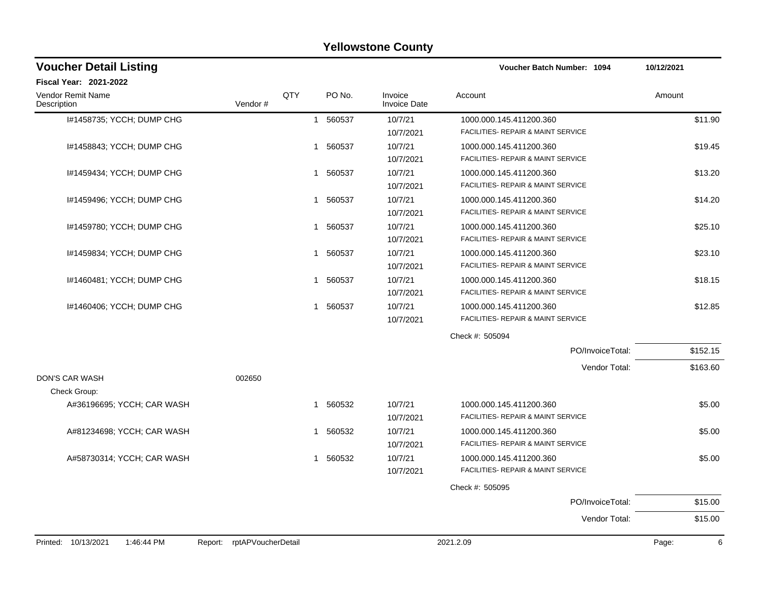|                                            |                            |     |          | <b>Yellowstone County</b>      |                                                                          |            |
|--------------------------------------------|----------------------------|-----|----------|--------------------------------|--------------------------------------------------------------------------|------------|
| <b>Voucher Detail Listing</b>              |                            |     |          |                                | Voucher Batch Number: 1094                                               | 10/12/2021 |
| Fiscal Year: 2021-2022                     |                            |     |          |                                |                                                                          |            |
| Vendor Remit Name<br>Description           | Vendor#                    | QTY | PO No.   | Invoice<br><b>Invoice Date</b> | Account                                                                  | Amount     |
| I#1458735; YCCH; DUMP CHG                  |                            |     | 1 560537 | 10/7/21<br>10/7/2021           | 1000.000.145.411200.360<br><b>FACILITIES- REPAIR &amp; MAINT SERVICE</b> | \$11.90    |
| I#1458843; YCCH; DUMP CHG                  |                            |     | 1 560537 | 10/7/21<br>10/7/2021           | 1000.000.145.411200.360<br><b>FACILITIES- REPAIR &amp; MAINT SERVICE</b> | \$19.45    |
| I#1459434; YCCH; DUMP CHG                  |                            |     | 1 560537 | 10/7/21<br>10/7/2021           | 1000.000.145.411200.360<br>FACILITIES- REPAIR & MAINT SERVICE            | \$13.20    |
| I#1459496; YCCH; DUMP CHG                  |                            |     | 1 560537 | 10/7/21<br>10/7/2021           | 1000.000.145.411200.360<br>FACILITIES- REPAIR & MAINT SERVICE            | \$14.20    |
| I#1459780; YCCH; DUMP CHG                  |                            |     | 1 560537 | 10/7/21<br>10/7/2021           | 1000.000.145.411200.360<br>FACILITIES- REPAIR & MAINT SERVICE            | \$25.10    |
| I#1459834; YCCH; DUMP CHG                  |                            | 1   | 560537   | 10/7/21<br>10/7/2021           | 1000.000.145.411200.360<br>FACILITIES- REPAIR & MAINT SERVICE            | \$23.10    |
| I#1460481; YCCH; DUMP CHG                  |                            |     | 1 560537 | 10/7/21<br>10/7/2021           | 1000.000.145.411200.360<br>FACILITIES- REPAIR & MAINT SERVICE            | \$18.15    |
| I#1460406; YCCH; DUMP CHG                  |                            |     | 1 560537 | 10/7/21<br>10/7/2021           | 1000.000.145.411200.360<br>FACILITIES- REPAIR & MAINT SERVICE            | \$12.85    |
|                                            |                            |     |          |                                | Check #: 505094                                                          |            |
|                                            |                            |     |          |                                | PO/InvoiceTotal:                                                         | \$152.15   |
|                                            |                            |     |          |                                | Vendor Total:                                                            | \$163.60   |
| <b>DON'S CAR WASH</b>                      | 002650                     |     |          |                                |                                                                          |            |
| Check Group:<br>A#36196695; YCCH; CAR WASH |                            |     | 1 560532 | 10/7/21<br>10/7/2021           | 1000.000.145.411200.360<br>FACILITIES- REPAIR & MAINT SERVICE            | \$5.00     |
| A#81234698; YCCH; CAR WASH                 |                            |     | 1 560532 | 10/7/21<br>10/7/2021           | 1000.000.145.411200.360<br>FACILITIES- REPAIR & MAINT SERVICE            | \$5.00     |
| A#58730314; YCCH; CAR WASH                 |                            | 1.  | 560532   | 10/7/21<br>10/7/2021           | 1000.000.145.411200.360<br>FACILITIES- REPAIR & MAINT SERVICE            | \$5.00     |
|                                            |                            |     |          |                                | Check #: 505095                                                          |            |
|                                            |                            |     |          |                                | PO/InvoiceTotal:                                                         | \$15.00    |
|                                            |                            |     |          |                                | Vendor Total:                                                            | \$15.00    |
| Printed: 10/13/2021<br>1:46:44 PM          | Report: rptAPVoucherDetail |     |          |                                | 2021.2.09                                                                | Page:<br>6 |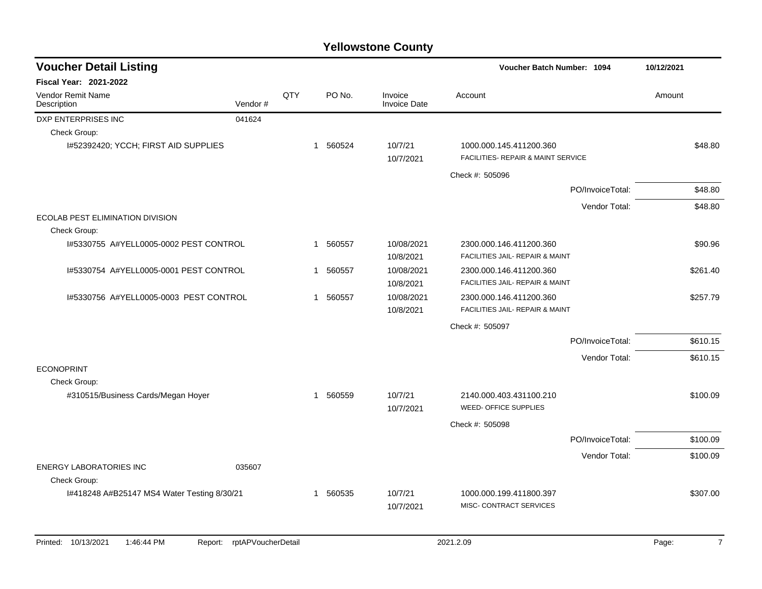| <b>Voucher Detail Listing</b>                  |         |     |          |                                | Voucher Batch Number: 1094                                    |                  | 10/12/2021 |          |
|------------------------------------------------|---------|-----|----------|--------------------------------|---------------------------------------------------------------|------------------|------------|----------|
| <b>Fiscal Year: 2021-2022</b>                  |         |     |          |                                |                                                               |                  |            |          |
| <b>Vendor Remit Name</b><br>Description        | Vendor# | QTY | PO No.   | Invoice<br><b>Invoice Date</b> | Account                                                       |                  | Amount     |          |
| DXP ENTERPRISES INC                            | 041624  |     |          |                                |                                                               |                  |            |          |
| Check Group:                                   |         |     |          |                                |                                                               |                  |            |          |
| I#52392420; YCCH; FIRST AID SUPPLIES           |         |     | 1 560524 | 10/7/21<br>10/7/2021           | 1000.000.145.411200.360<br>FACILITIES- REPAIR & MAINT SERVICE |                  |            | \$48.80  |
|                                                |         |     |          |                                | Check #: 505096                                               |                  |            |          |
|                                                |         |     |          |                                |                                                               | PO/InvoiceTotal: |            | \$48.80  |
|                                                |         |     |          |                                |                                                               | Vendor Total:    |            | \$48.80  |
| ECOLAB PEST ELIMINATION DIVISION               |         |     |          |                                |                                                               |                  |            |          |
| Check Group:                                   |         |     |          |                                |                                                               |                  |            |          |
| 1#5330755 A#YELL0005-0002 PEST CONTROL         |         |     | 1 560557 | 10/08/2021<br>10/8/2021        | 2300.000.146.411200.360<br>FACILITIES JAIL- REPAIR & MAINT    |                  |            | \$90.96  |
| 1#5330754 A#YELL0005-0001 PEST CONTROL         |         | 1   | 560557   | 10/08/2021<br>10/8/2021        | 2300.000.146.411200.360<br>FACILITIES JAIL- REPAIR & MAINT    |                  |            | \$261.40 |
| 1#5330756 A#YELL0005-0003 PEST CONTROL         |         | 1   | 560557   | 10/08/2021<br>10/8/2021        | 2300.000.146.411200.360<br>FACILITIES JAIL- REPAIR & MAINT    |                  |            | \$257.79 |
|                                                |         |     |          |                                | Check #: 505097                                               |                  |            |          |
|                                                |         |     |          |                                |                                                               | PO/InvoiceTotal: |            | \$610.15 |
|                                                |         |     |          |                                |                                                               | Vendor Total:    |            | \$610.15 |
| <b>ECONOPRINT</b><br>Check Group:              |         |     |          |                                |                                                               |                  |            |          |
| #310515/Business Cards/Megan Hoyer             |         |     | 1 560559 | 10/7/21<br>10/7/2021           | 2140.000.403.431100.210<br>WEED- OFFICE SUPPLIES              |                  |            | \$100.09 |
|                                                |         |     |          |                                | Check #: 505098                                               |                  |            |          |
|                                                |         |     |          |                                |                                                               | PO/InvoiceTotal: |            | \$100.09 |
|                                                |         |     |          |                                |                                                               | Vendor Total:    |            | \$100.09 |
| <b>ENERGY LABORATORIES INC</b><br>Check Group: | 035607  |     |          |                                |                                                               |                  |            |          |
| I#418248 A#B25147 MS4 Water Testing 8/30/21    |         |     | 1 560535 | 10/7/21<br>10/7/2021           | 1000.000.199.411800.397<br>MISC- CONTRACT SERVICES            |                  |            | \$307.00 |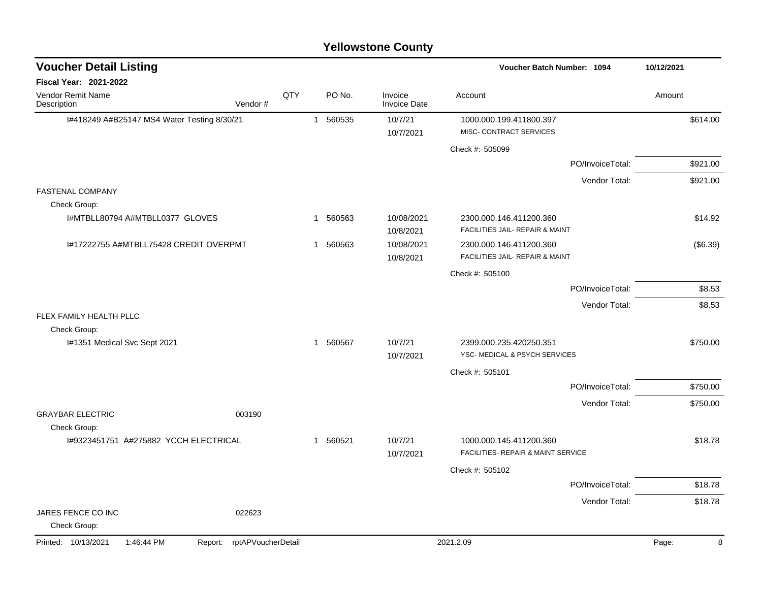|                                                                    |     |                        | <b>Yellowstone County</b>      |                                                               |            |
|--------------------------------------------------------------------|-----|------------------------|--------------------------------|---------------------------------------------------------------|------------|
| <b>Voucher Detail Listing</b>                                      |     |                        |                                | Voucher Batch Number: 1094                                    | 10/12/2021 |
| Fiscal Year: 2021-2022                                             |     |                        |                                |                                                               |            |
| Vendor Remit Name<br>Vendor#<br>Description                        | QTY | PO No.                 | Invoice<br><b>Invoice Date</b> | Account                                                       | Amount     |
| I#418249 A#B25147 MS4 Water Testing 8/30/21                        |     | 560535<br>$\mathbf{1}$ | 10/7/21                        | 1000.000.199.411800.397                                       | \$614.00   |
|                                                                    |     |                        | 10/7/2021                      | MISC- CONTRACT SERVICES                                       |            |
|                                                                    |     |                        |                                | Check #: 505099                                               |            |
|                                                                    |     |                        |                                | PO/InvoiceTotal:                                              | \$921.00   |
|                                                                    |     |                        |                                | Vendor Total:                                                 | \$921.00   |
| <b>FASTENAL COMPANY</b>                                            |     |                        |                                |                                                               |            |
| Check Group:<br>I#MTBLL80794 A#MTBLL0377 GLOVES                    |     | 1 560563               | 10/08/2021                     | 2300.000.146.411200.360                                       | \$14.92    |
|                                                                    |     |                        | 10/8/2021                      | FACILITIES JAIL- REPAIR & MAINT                               |            |
| I#17222755 A#MTBLL75428 CREDIT OVERPMT                             |     | 1 560563               | 10/08/2021                     | 2300.000.146.411200.360                                       | (\$6.39)   |
|                                                                    |     |                        | 10/8/2021                      | FACILITIES JAIL- REPAIR & MAINT                               |            |
|                                                                    |     |                        |                                | Check #: 505100                                               |            |
|                                                                    |     |                        |                                | PO/InvoiceTotal:                                              | \$8.53     |
|                                                                    |     |                        |                                | Vendor Total:                                                 | \$8.53     |
| FLEX FAMILY HEALTH PLLC                                            |     |                        |                                |                                                               |            |
| Check Group:<br>I#1351 Medical Svc Sept 2021                       |     | 1 560567               | 10/7/21                        | 2399.000.235.420250.351                                       | \$750.00   |
|                                                                    |     |                        | 10/7/2021                      | YSC- MEDICAL & PSYCH SERVICES                                 |            |
|                                                                    |     |                        |                                | Check #: 505101                                               |            |
|                                                                    |     |                        |                                | PO/InvoiceTotal:                                              | \$750.00   |
|                                                                    |     |                        |                                | Vendor Total:                                                 | \$750.00   |
| <b>GRAYBAR ELECTRIC</b><br>003190                                  |     |                        |                                |                                                               |            |
| Check Group:                                                       |     |                        |                                |                                                               |            |
| 1#9323451751 A#275882 YCCH ELECTRICAL                              |     | 1 560521               | 10/7/21                        | 1000.000.145.411200.360<br>FACILITIES- REPAIR & MAINT SERVICE | \$18.78    |
|                                                                    |     |                        | 10/7/2021                      |                                                               |            |
|                                                                    |     |                        |                                | Check #: 505102                                               |            |
|                                                                    |     |                        |                                | PO/InvoiceTotal:                                              | \$18.78    |
| JARES FENCE CO INC<br>022623                                       |     |                        |                                | Vendor Total:                                                 | \$18.78    |
| Check Group:                                                       |     |                        |                                |                                                               |            |
| Printed: 10/13/2021<br>1:46:44 PM<br>rptAPVoucherDetail<br>Report: |     |                        |                                | 2021.2.09                                                     | Page:<br>8 |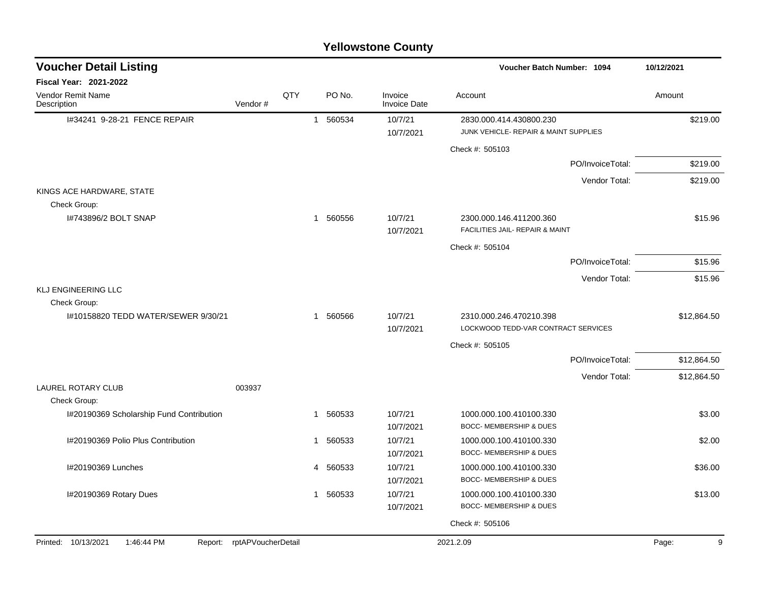|                                              |                    |     |                        | <b>Yellowstone County</b>      |                                                                |             |
|----------------------------------------------|--------------------|-----|------------------------|--------------------------------|----------------------------------------------------------------|-------------|
| <b>Voucher Detail Listing</b>                |                    |     |                        |                                | <b>Voucher Batch Number: 1094</b>                              | 10/12/2021  |
| Fiscal Year: 2021-2022                       |                    |     |                        |                                |                                                                |             |
| Vendor Remit Name<br>Description             | Vendor#            | QTY | PO No.                 | Invoice<br><b>Invoice Date</b> | Account                                                        | Amount      |
| 1#34241 9-28-21 FENCE REPAIR                 |                    |     | 560534<br>$\mathbf{1}$ | 10/7/21                        | 2830.000.414.430800.230                                        | \$219.00    |
|                                              |                    |     |                        | 10/7/2021                      | JUNK VEHICLE- REPAIR & MAINT SUPPLIES                          |             |
|                                              |                    |     |                        |                                | Check #: 505103                                                |             |
|                                              |                    |     |                        |                                | PO/InvoiceTotal:                                               | \$219.00    |
|                                              |                    |     |                        |                                | Vendor Total:                                                  | \$219.00    |
| KINGS ACE HARDWARE, STATE                    |                    |     |                        |                                |                                                                |             |
| Check Group:<br>I#743896/2 BOLT SNAP         |                    |     | 1 560556               | 10/7/21                        | 2300.000.146.411200.360                                        | \$15.96     |
|                                              |                    |     |                        | 10/7/2021                      | FACILITIES JAIL- REPAIR & MAINT                                |             |
|                                              |                    |     |                        |                                | Check #: 505104                                                |             |
|                                              |                    |     |                        |                                | PO/InvoiceTotal:                                               | \$15.96     |
|                                              |                    |     |                        |                                | Vendor Total:                                                  | \$15.96     |
| KLJ ENGINEERING LLC                          |                    |     |                        |                                |                                                                |             |
| Check Group:                                 |                    |     |                        |                                |                                                                |             |
| I#10158820 TEDD WATER/SEWER 9/30/21          |                    |     | 1 560566               | 10/7/21<br>10/7/2021           | 2310.000.246.470210.398<br>LOCKWOOD TEDD-VAR CONTRACT SERVICES | \$12,864.50 |
|                                              |                    |     |                        |                                | Check #: 505105                                                |             |
|                                              |                    |     |                        |                                | PO/InvoiceTotal:                                               | \$12,864.50 |
|                                              |                    |     |                        |                                | Vendor Total:                                                  | \$12,864.50 |
| LAUREL ROTARY CLUB                           | 003937             |     |                        |                                |                                                                |             |
| Check Group:                                 |                    |     |                        |                                |                                                                |             |
| I#20190369 Scholarship Fund Contribution     |                    |     | 560533<br>1.           | 10/7/21<br>10/7/2021           | 1000.000.100.410100.330<br>BOCC- MEMBERSHIP & DUES             | \$3.00      |
| I#20190369 Polio Plus Contribution           |                    |     | 560533<br>1            | 10/7/21                        | 1000.000.100.410100.330                                        | \$2.00      |
|                                              |                    |     |                        | 10/7/2021                      | <b>BOCC- MEMBERSHIP &amp; DUES</b>                             |             |
| I#20190369 Lunches                           |                    |     | 560533<br>4            | 10/7/21                        | 1000.000.100.410100.330                                        | \$36.00     |
|                                              |                    |     |                        | 10/7/2021                      | BOCC- MEMBERSHIP & DUES                                        |             |
| I#20190369 Rotary Dues                       |                    |     | 1 560533               | 10/7/21                        | 1000.000.100.410100.330                                        | \$13.00     |
|                                              |                    |     |                        | 10/7/2021                      | BOCC- MEMBERSHIP & DUES                                        |             |
|                                              |                    |     |                        |                                | Check #: 505106                                                |             |
| Printed: 10/13/2021<br>1:46:44 PM<br>Report: | rptAPVoucherDetail |     |                        |                                | 2021.2.09                                                      | Page:<br>9  |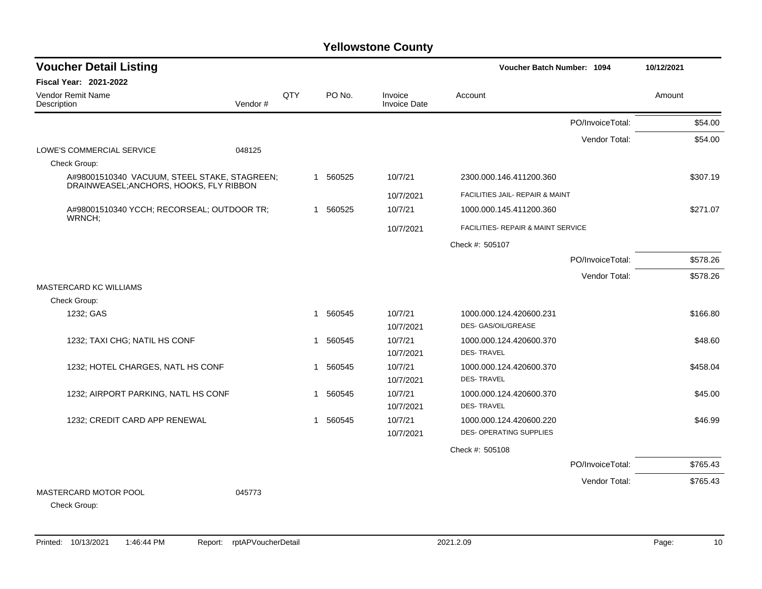| <b>Voucher Detail Listing</b>                                                           |         |     |                        |                         | Voucher Batch Number: 1094                     |                  | 10/12/2021 |
|-----------------------------------------------------------------------------------------|---------|-----|------------------------|-------------------------|------------------------------------------------|------------------|------------|
| <b>Fiscal Year: 2021-2022</b>                                                           |         |     |                        |                         |                                                |                  |            |
| Vendor Remit Name<br>Description                                                        | Vendor# | QTY | PO No.                 | Invoice<br>Invoice Date | Account                                        |                  | Amount     |
|                                                                                         |         |     |                        |                         |                                                | PO/InvoiceTotal: | \$54.00    |
|                                                                                         |         |     |                        |                         |                                                | Vendor Total:    | \$54.00    |
| LOWE'S COMMERCIAL SERVICE                                                               | 048125  |     |                        |                         |                                                |                  |            |
| Check Group:                                                                            |         |     |                        |                         |                                                |                  |            |
| A#98001510340 VACUUM, STEEL STAKE, STAGREEN;<br>DRAINWEASEL; ANCHORS, HOOKS, FLY RIBBON |         |     | 1 560525               | 10/7/21                 | 2300.000.146.411200.360                        |                  | \$307.19   |
|                                                                                         |         |     |                        | 10/7/2021               | FACILITIES JAIL- REPAIR & MAINT                |                  |            |
| A#98001510340 YCCH; RECORSEAL; OUTDOOR TR;<br>WRNCH;                                    |         |     | 1 560525               | 10/7/21                 | 1000.000.145.411200.360                        |                  | \$271.07   |
|                                                                                         |         |     |                        | 10/7/2021               | FACILITIES- REPAIR & MAINT SERVICE             |                  |            |
|                                                                                         |         |     |                        |                         | Check #: 505107                                |                  |            |
|                                                                                         |         |     |                        |                         |                                                | PO/InvoiceTotal: | \$578.26   |
|                                                                                         |         |     |                        |                         |                                                | Vendor Total:    | \$578.26   |
| <b>MASTERCARD KC WILLIAMS</b>                                                           |         |     |                        |                         |                                                |                  |            |
| Check Group:                                                                            |         |     |                        |                         |                                                |                  |            |
| 1232; GAS                                                                               |         |     | 1 560545               | 10/7/21<br>10/7/2021    | 1000.000.124.420600.231<br>DES- GAS/OIL/GREASE |                  | \$166.80   |
|                                                                                         |         |     |                        | 10/7/21                 |                                                |                  |            |
| 1232; TAXI CHG; NATIL HS CONF                                                           |         |     | 560545<br>$\mathbf{1}$ | 10/7/2021               | 1000.000.124.420600.370<br><b>DES-TRAVEL</b>   |                  | \$48.60    |
| 1232; HOTEL CHARGES, NATL HS CONF                                                       |         |     | 560545<br>$\mathbf 1$  | 10/7/21                 | 1000.000.124.420600.370                        |                  | \$458.04   |
|                                                                                         |         |     |                        | 10/7/2021               | <b>DES-TRAVEL</b>                              |                  |            |
| 1232; AIRPORT PARKING, NATL HS CONF                                                     |         |     | 560545<br>1            | 10/7/21                 | 1000.000.124.420600.370                        |                  | \$45.00    |
|                                                                                         |         |     |                        | 10/7/2021               | <b>DES-TRAVEL</b>                              |                  |            |
| 1232; CREDIT CARD APP RENEWAL                                                           |         |     | 1 560545               | 10/7/21                 | 1000.000.124.420600.220                        |                  | \$46.99    |
|                                                                                         |         |     |                        | 10/7/2021               | DES- OPERATING SUPPLIES                        |                  |            |
|                                                                                         |         |     |                        |                         | Check #: 505108                                |                  |            |
|                                                                                         |         |     |                        |                         |                                                | PO/InvoiceTotal: | \$765.43   |
|                                                                                         |         |     |                        |                         |                                                | Vendor Total:    | \$765.43   |
| MASTERCARD MOTOR POOL<br>Check Group:                                                   | 045773  |     |                        |                         |                                                |                  |            |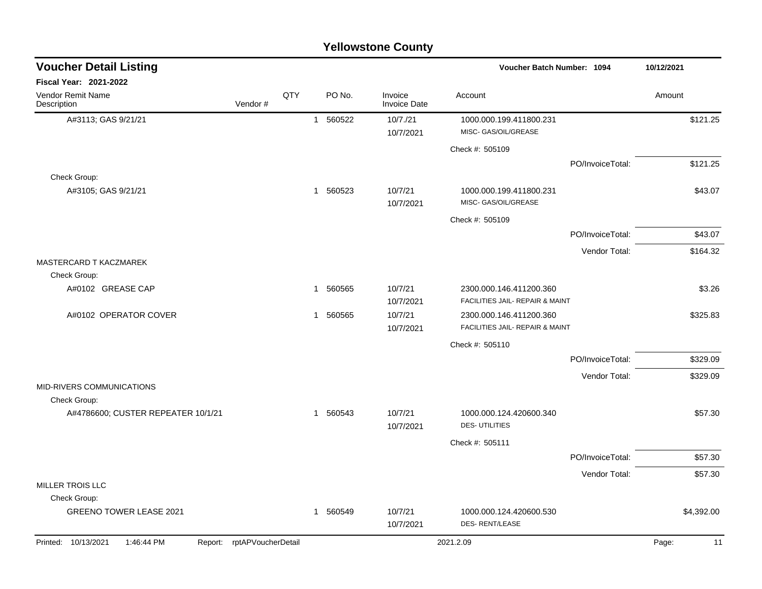|                                                    |                    |     |              |          | <b>Yellowstone County</b>      |                                                            |                  |            |            |
|----------------------------------------------------|--------------------|-----|--------------|----------|--------------------------------|------------------------------------------------------------|------------------|------------|------------|
| <b>Voucher Detail Listing</b>                      |                    |     |              |          |                                | Voucher Batch Number: 1094                                 |                  | 10/12/2021 |            |
| Fiscal Year: 2021-2022                             |                    |     |              |          |                                |                                                            |                  |            |            |
| Vendor Remit Name<br>Description                   | Vendor#            | QTY |              | PO No.   | Invoice<br><b>Invoice Date</b> | Account                                                    |                  | Amount     |            |
| A#3113; GAS 9/21/21                                |                    |     | $\mathbf{1}$ | 560522   | 10/7./21<br>10/7/2021          | 1000.000.199.411800.231<br>MISC- GAS/OIL/GREASE            |                  |            | \$121.25   |
|                                                    |                    |     |              |          |                                | Check #: 505109                                            |                  |            |            |
|                                                    |                    |     |              |          |                                |                                                            | PO/InvoiceTotal: |            | \$121.25   |
| Check Group:                                       |                    |     |              |          |                                |                                                            |                  |            |            |
| A#3105; GAS 9/21/21                                |                    |     |              | 1 560523 | 10/7/21<br>10/7/2021           | 1000.000.199.411800.231<br>MISC- GAS/OIL/GREASE            |                  |            | \$43.07    |
|                                                    |                    |     |              |          |                                | Check #: 505109                                            |                  |            |            |
|                                                    |                    |     |              |          |                                |                                                            | PO/InvoiceTotal: |            | \$43.07    |
|                                                    |                    |     |              |          |                                |                                                            | Vendor Total:    |            | \$164.32   |
| MASTERCARD T KACZMAREK                             |                    |     |              |          |                                |                                                            |                  |            |            |
| Check Group:                                       |                    |     |              |          |                                |                                                            |                  |            |            |
| A#0102 GREASE CAP                                  |                    |     |              | 1 560565 | 10/7/21<br>10/7/2021           | 2300.000.146.411200.360<br>FACILITIES JAIL- REPAIR & MAINT |                  |            | \$3.26     |
| A#0102 OPERATOR COVER                              |                    |     | 1            | 560565   | 10/7/21<br>10/7/2021           | 2300.000.146.411200.360<br>FACILITIES JAIL- REPAIR & MAINT |                  |            | \$325.83   |
|                                                    |                    |     |              |          |                                | Check #: 505110                                            |                  |            |            |
|                                                    |                    |     |              |          |                                |                                                            | PO/InvoiceTotal: |            | \$329.09   |
|                                                    |                    |     |              |          |                                |                                                            | Vendor Total:    |            | \$329.09   |
| MID-RIVERS COMMUNICATIONS                          |                    |     |              |          |                                |                                                            |                  |            |            |
| Check Group:<br>A#4786600; CUSTER REPEATER 10/1/21 |                    |     |              | 1 560543 | 10/7/21                        |                                                            |                  |            | \$57.30    |
|                                                    |                    |     |              |          | 10/7/2021                      | 1000.000.124.420600.340<br><b>DES-UTILITIES</b>            |                  |            |            |
|                                                    |                    |     |              |          |                                | Check #: 505111                                            |                  |            |            |
|                                                    |                    |     |              |          |                                |                                                            | PO/InvoiceTotal: |            | \$57.30    |
|                                                    |                    |     |              |          |                                |                                                            | Vendor Total:    |            | \$57.30    |
| <b>MILLER TROIS LLC</b>                            |                    |     |              |          |                                |                                                            |                  |            |            |
| Check Group:                                       |                    |     |              |          |                                |                                                            |                  |            |            |
| <b>GREENO TOWER LEASE 2021</b>                     |                    |     |              | 1 560549 | 10/7/21<br>10/7/2021           | 1000.000.124.420600.530<br>DES-RENT/LEASE                  |                  |            | \$4,392.00 |
| Printed: 10/13/2021<br>1:46:44 PM<br>Report:       | rptAPVoucherDetail |     |              |          |                                | 2021.2.09                                                  |                  | Page:      | 11         |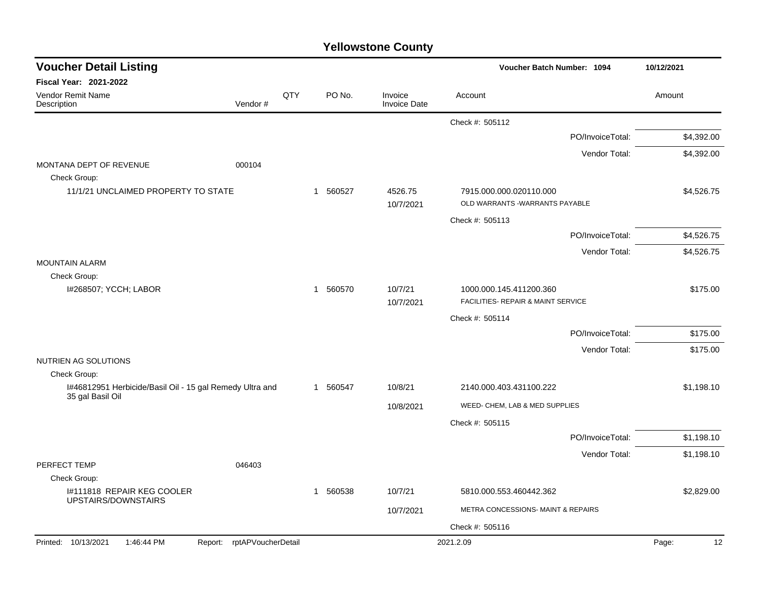| <b>Yellowstone County</b> |  |
|---------------------------|--|
|---------------------------|--|

| <b>Voucher Detail Listing</b>                                                |                    |     |             |                                |                                    | Voucher Batch Number: 1094 | 10/12/2021  |
|------------------------------------------------------------------------------|--------------------|-----|-------------|--------------------------------|------------------------------------|----------------------------|-------------|
| <b>Fiscal Year: 2021-2022</b>                                                |                    |     |             |                                |                                    |                            |             |
| <b>Vendor Remit Name</b><br>Description                                      | Vendor#            | QTY | PO No.      | Invoice<br><b>Invoice Date</b> | Account                            |                            | Amount      |
|                                                                              |                    |     |             |                                | Check #: 505112                    |                            |             |
|                                                                              |                    |     |             |                                |                                    | PO/InvoiceTotal:           | \$4,392.00  |
|                                                                              |                    |     |             |                                |                                    | Vendor Total:              | \$4,392.00  |
| MONTANA DEPT OF REVENUE                                                      | 000104             |     |             |                                |                                    |                            |             |
| Check Group:<br>11/1/21 UNCLAIMED PROPERTY TO STATE                          |                    |     | 1 560527    | 4526.75                        | 7915.000.000.020110.000            |                            | \$4,526.75  |
|                                                                              |                    |     |             | 10/7/2021                      | OLD WARRANTS - WARRANTS PAYABLE    |                            |             |
|                                                                              |                    |     |             |                                | Check #: 505113                    |                            |             |
|                                                                              |                    |     |             |                                |                                    | PO/InvoiceTotal:           | \$4,526.75  |
|                                                                              |                    |     |             |                                |                                    | Vendor Total:              | \$4,526.75  |
| <b>MOUNTAIN ALARM</b>                                                        |                    |     |             |                                |                                    |                            |             |
| Check Group:<br>I#268507; YCCH; LABOR                                        |                    |     | 1 560570    | 10/7/21                        | 1000.000.145.411200.360            |                            | \$175.00    |
|                                                                              |                    |     |             | 10/7/2021                      | FACILITIES- REPAIR & MAINT SERVICE |                            |             |
|                                                                              |                    |     |             |                                | Check #: 505114                    |                            |             |
|                                                                              |                    |     |             |                                |                                    | PO/InvoiceTotal:           | \$175.00    |
|                                                                              |                    |     |             |                                |                                    | Vendor Total:              | \$175.00    |
| NUTRIEN AG SOLUTIONS                                                         |                    |     |             |                                |                                    |                            |             |
| Check Group:                                                                 |                    |     | 1 560547    | 10/8/21                        | 2140.000.403.431100.222            |                            | \$1,198.10  |
| I#46812951 Herbicide/Basil Oil - 15 gal Remedy Ultra and<br>35 gal Basil Oil |                    |     |             |                                |                                    |                            |             |
|                                                                              |                    |     |             | 10/8/2021                      | WEED- CHEM, LAB & MED SUPPLIES     |                            |             |
|                                                                              |                    |     |             |                                | Check #: 505115                    |                            |             |
|                                                                              |                    |     |             |                                |                                    | PO/InvoiceTotal:           | \$1,198.10  |
| PERFECT TEMP                                                                 | 046403             |     |             |                                |                                    | Vendor Total:              | \$1,198.10  |
| Check Group:                                                                 |                    |     |             |                                |                                    |                            |             |
| I#111818 REPAIR KEG COOLER                                                   |                    |     | 560538<br>1 | 10/7/21                        | 5810.000.553.460442.362            |                            | \$2,829.00  |
| UPSTAIRS/DOWNSTAIRS                                                          |                    |     |             | 10/7/2021                      | METRA CONCESSIONS- MAINT & REPAIRS |                            |             |
|                                                                              |                    |     |             |                                | Check #: 505116                    |                            |             |
| Printed: 10/13/2021<br>1:46:44 PM<br>Report:                                 | rptAPVoucherDetail |     |             |                                | 2021.2.09                          |                            | Page:<br>12 |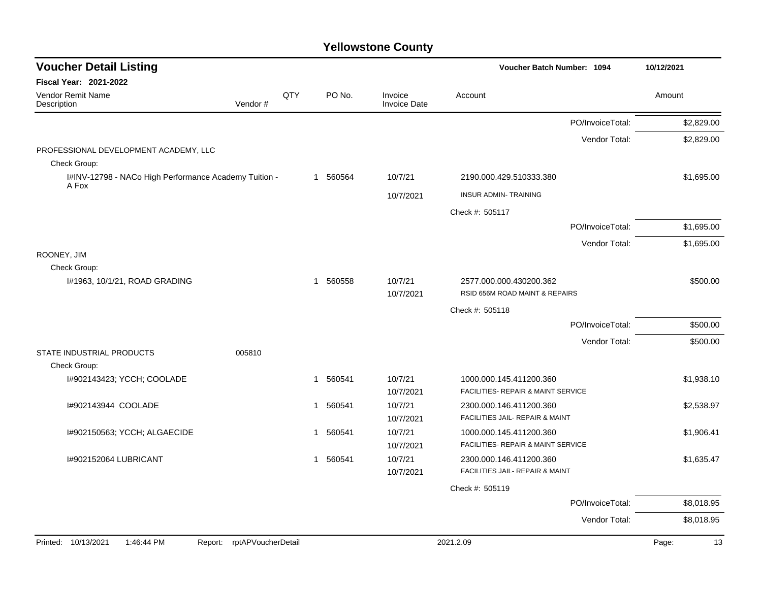| <b>Voucher Detail Listing</b>                                  |                    |     |          |        |                         | <b>Voucher Batch Number: 1094</b>                             |                  | 10/12/2021  |
|----------------------------------------------------------------|--------------------|-----|----------|--------|-------------------------|---------------------------------------------------------------|------------------|-------------|
| <b>Fiscal Year: 2021-2022</b>                                  |                    |     |          |        |                         |                                                               |                  |             |
| Vendor Remit Name<br>Description                               | Vendor#            | QTY |          | PO No. | Invoice<br>Invoice Date | Account                                                       |                  | Amount      |
|                                                                |                    |     |          |        |                         |                                                               | PO/InvoiceTotal: | \$2,829.00  |
|                                                                |                    |     |          |        |                         |                                                               | Vendor Total:    | \$2,829.00  |
| PROFESSIONAL DEVELOPMENT ACADEMY, LLC<br>Check Group:          |                    |     |          |        |                         |                                                               |                  |             |
| I#INV-12798 - NACo High Performance Academy Tuition -<br>A Fox |                    |     | 1 560564 |        | 10/7/21                 | 2190.000.429.510333.380                                       |                  | \$1,695.00  |
|                                                                |                    |     |          |        | 10/7/2021               | <b>INSUR ADMIN-TRAINING</b>                                   |                  |             |
|                                                                |                    |     |          |        |                         | Check #: 505117                                               |                  |             |
|                                                                |                    |     |          |        |                         |                                                               | PO/InvoiceTotal: | \$1,695.00  |
|                                                                |                    |     |          |        |                         |                                                               | Vendor Total:    | \$1,695.00  |
| ROONEY, JIM                                                    |                    |     |          |        |                         |                                                               |                  |             |
| Check Group:<br>#1963, 10/1/21, ROAD GRADING                   |                    |     | 1        | 560558 | 10/7/21                 | 2577.000.000.430200.362                                       |                  | \$500.00    |
|                                                                |                    |     |          |        | 10/7/2021               | RSID 656M ROAD MAINT & REPAIRS                                |                  |             |
|                                                                |                    |     |          |        |                         | Check #: 505118                                               |                  |             |
|                                                                |                    |     |          |        |                         |                                                               | PO/InvoiceTotal: | \$500.00    |
|                                                                |                    |     |          |        |                         |                                                               | Vendor Total:    | \$500.00    |
| STATE INDUSTRIAL PRODUCTS                                      | 005810             |     |          |        |                         |                                                               |                  |             |
| Check Group:                                                   |                    |     |          |        |                         |                                                               |                  |             |
| I#902143423; YCCH; COOLADE                                     |                    |     | 1        | 560541 | 10/7/21<br>10/7/2021    | 1000.000.145.411200.360<br>FACILITIES- REPAIR & MAINT SERVICE |                  | \$1,938.10  |
| 1#902143944 COOLADE                                            |                    |     | 1 560541 |        | 10/7/21                 | 2300.000.146.411200.360                                       |                  | \$2,538.97  |
|                                                                |                    |     |          |        | 10/7/2021               | FACILITIES JAIL- REPAIR & MAINT                               |                  |             |
| I#902150563; YCCH; ALGAECIDE                                   |                    |     | 1 560541 |        | 10/7/21                 | 1000.000.145.411200.360                                       |                  | \$1,906.41  |
|                                                                |                    |     |          |        | 10/7/2021               | FACILITIES- REPAIR & MAINT SERVICE                            |                  |             |
| 1#902152064 LUBRICANT                                          |                    |     | 1 560541 |        | 10/7/21<br>10/7/2021    | 2300.000.146.411200.360<br>FACILITIES JAIL- REPAIR & MAINT    |                  | \$1,635.47  |
|                                                                |                    |     |          |        |                         | Check #: 505119                                               |                  |             |
|                                                                |                    |     |          |        |                         |                                                               | PO/InvoiceTotal: | \$8,018.95  |
|                                                                |                    |     |          |        |                         |                                                               |                  |             |
|                                                                |                    |     |          |        |                         |                                                               | Vendor Total:    | \$8,018.95  |
| 1:46:44 PM<br>Printed: 10/13/2021<br>Report:                   | rptAPVoucherDetail |     |          |        |                         | 2021.2.09                                                     |                  | Page:<br>13 |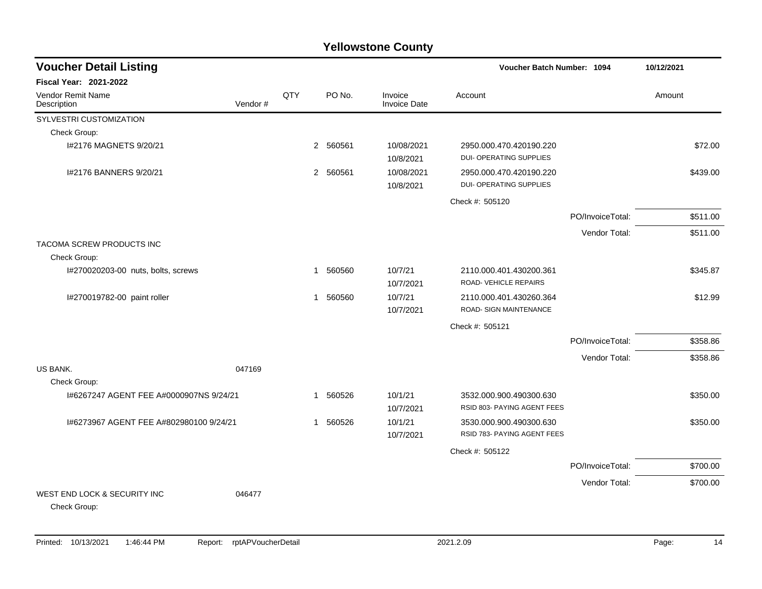| <b>Voucher Detail Listing</b>                | Voucher Batch Number: 1094 |     | 10/12/2021               |                                |                                                           |                  |          |
|----------------------------------------------|----------------------------|-----|--------------------------|--------------------------------|-----------------------------------------------------------|------------------|----------|
| <b>Fiscal Year: 2021-2022</b>                |                            |     |                          |                                |                                                           |                  |          |
| Vendor Remit Name<br>Description             | Vendor#                    | QTY | PO No.                   | Invoice<br><b>Invoice Date</b> | Account                                                   |                  | Amount   |
| SYLVESTRI CUSTOMIZATION                      |                            |     |                          |                                |                                                           |                  |          |
| Check Group:                                 |                            |     |                          |                                |                                                           |                  |          |
| I#2176 MAGNETS 9/20/21                       |                            |     | 560561<br>$\overline{2}$ | 10/08/2021<br>10/8/2021        | 2950.000.470.420190.220<br><b>DUI- OPERATING SUPPLIES</b> |                  | \$72.00  |
| I#2176 BANNERS 9/20/21                       |                            |     | 2 560561                 | 10/08/2021<br>10/8/2021        | 2950.000.470.420190.220<br>DUI- OPERATING SUPPLIES        |                  | \$439.00 |
|                                              |                            |     |                          |                                | Check #: 505120                                           |                  |          |
|                                              |                            |     |                          |                                |                                                           | PO/InvoiceTotal: | \$511.00 |
|                                              |                            |     |                          |                                |                                                           | Vendor Total:    | \$511.00 |
| TACOMA SCREW PRODUCTS INC                    |                            |     |                          |                                |                                                           |                  |          |
| Check Group:                                 |                            |     |                          |                                |                                                           |                  |          |
| I#270020203-00 nuts, bolts, screws           |                            |     | 560560<br>$\mathbf{1}$   | 10/7/21<br>10/7/2021           | 2110.000.401.430200.361<br>ROAD-VEHICLE REPAIRS           |                  | \$345.87 |
| I#270019782-00 paint roller                  |                            |     | 1 560560                 | 10/7/21<br>10/7/2021           | 2110.000.401.430260.364<br>ROAD- SIGN MAINTENANCE         |                  | \$12.99  |
|                                              |                            |     |                          |                                | Check #: 505121                                           |                  |          |
|                                              |                            |     |                          |                                |                                                           | PO/InvoiceTotal: | \$358.86 |
|                                              |                            |     |                          |                                |                                                           | Vendor Total:    | \$358.86 |
| US BANK.                                     | 047169                     |     |                          |                                |                                                           |                  |          |
| Check Group:                                 |                            |     |                          |                                |                                                           |                  |          |
| 1#6267247 AGENT FEE A#0000907NS 9/24/21      |                            |     | 1 560526                 | 10/1/21<br>10/7/2021           | 3532.000.900.490300.630<br>RSID 803- PAYING AGENT FEES    |                  | \$350.00 |
| I#6273967 AGENT FEE A#802980100 9/24/21      |                            |     | 560526<br>$\mathbf{1}$   | 10/1/21<br>10/7/2021           | 3530.000.900.490300.630<br>RSID 783- PAYING AGENT FEES    |                  | \$350.00 |
|                                              |                            |     |                          |                                | Check #: 505122                                           |                  |          |
|                                              |                            |     |                          |                                |                                                           | PO/InvoiceTotal: | \$700.00 |
|                                              |                            |     |                          |                                |                                                           | Vendor Total:    | \$700.00 |
| WEST END LOCK & SECURITY INC<br>Check Group: | 046477                     |     |                          |                                |                                                           |                  |          |